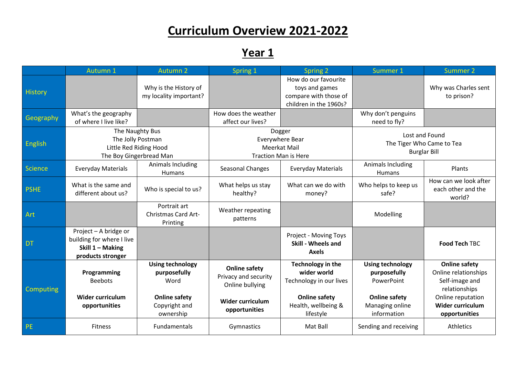## **Curriculum Overview 2021-2022**

**Year 1**

|                  | Autumn 1                                                                                    | <b>Autumn 2</b>                                                                                       | Spring 1                                                                                                    | Spring 2                                                                                                                | Summer 1                                                                                                        | <b>Summer 2</b>                                                                                                                                  |
|------------------|---------------------------------------------------------------------------------------------|-------------------------------------------------------------------------------------------------------|-------------------------------------------------------------------------------------------------------------|-------------------------------------------------------------------------------------------------------------------------|-----------------------------------------------------------------------------------------------------------------|--------------------------------------------------------------------------------------------------------------------------------------------------|
| <b>History</b>   |                                                                                             | Why is the History of<br>my locality important?                                                       |                                                                                                             | How do our favourite<br>toys and games<br>compare with those of<br>children in the 1960s?                               |                                                                                                                 | Why was Charles sent<br>to prison?                                                                                                               |
| Geography        | What's the geography<br>of where I live like?                                               |                                                                                                       | How does the weather<br>affect our lives?                                                                   |                                                                                                                         | Why don't penguins<br>need to fly?                                                                              |                                                                                                                                                  |
| <b>English</b>   | The Naughty Bus<br>The Jolly Postman<br>Little Red Riding Hood<br>The Boy Gingerbread Man   |                                                                                                       | Dogger<br>Everywhere Bear<br><b>Meerkat Mail</b><br><b>Traction Man is Here</b>                             |                                                                                                                         | Lost and Found<br>The Tiger Who Came to Tea<br><b>Burglar Bill</b>                                              |                                                                                                                                                  |
| <b>Science</b>   | <b>Everyday Materials</b>                                                                   | Animals Including<br>Humans                                                                           | Seasonal Changes                                                                                            | <b>Everyday Materials</b>                                                                                               | Animals Including<br>Humans                                                                                     | Plants                                                                                                                                           |
| <b>PSHE</b>      | What is the same and<br>different about us?                                                 | Who is special to us?                                                                                 | What helps us stay<br>healthy?                                                                              | What can we do with<br>money?                                                                                           | Who helps to keep us<br>safe?                                                                                   | How can we look after<br>each other and the<br>world?                                                                                            |
| Art              |                                                                                             | Portrait art<br><b>Christmas Card Art-</b><br>Printing                                                | Weather repeating<br>patterns                                                                               |                                                                                                                         | Modelling                                                                                                       |                                                                                                                                                  |
| <b>DT</b>        | Project - A bridge or<br>building for where I live<br>Skill 1 - Making<br>products stronger |                                                                                                       |                                                                                                             | Project - Moving Toys<br>Skill - Wheels and<br><b>Axels</b>                                                             |                                                                                                                 | <b>Food Tech TBC</b>                                                                                                                             |
| <b>Computing</b> | Programming<br><b>Beebots</b><br>Wider curriculum<br>opportunities                          | <b>Using technology</b><br>purposefully<br>Word<br><b>Online safety</b><br>Copyright and<br>ownership | <b>Online safety</b><br>Privacy and security<br>Online bullying<br><b>Wider curriculum</b><br>opportunities | Technology in the<br>wider world<br>Technology in our lives<br><b>Online safety</b><br>Health, wellbeing &<br>lifestyle | <b>Using technology</b><br>purposefully<br>PowerPoint<br><b>Online safety</b><br>Managing online<br>information | <b>Online safety</b><br>Online relationships<br>Self-image and<br>relationships<br>Online reputation<br><b>Wider curriculum</b><br>opportunities |
| <b>PE</b>        | <b>Fitness</b>                                                                              | <b>Fundamentals</b>                                                                                   | Gymnastics                                                                                                  | Mat Ball                                                                                                                | Sending and receiving                                                                                           | Athletics                                                                                                                                        |